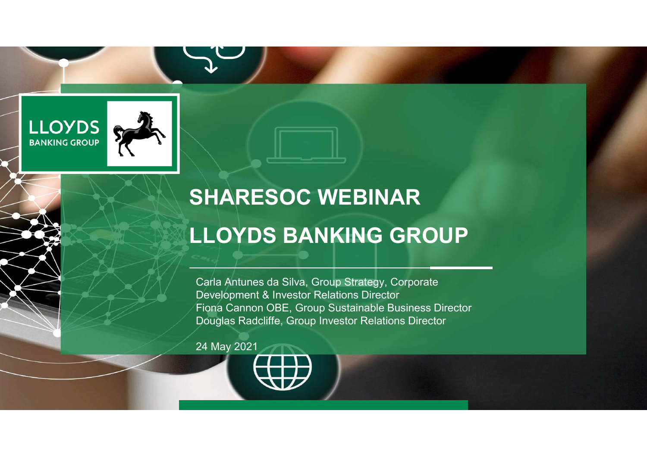

# **SHARESOC WEBINAR**

## **LLOYDS BANKING GROUP**

Carla Antunes da Silva, Group Strategy, Corporate Development & Investor Relations Director Fiona Cannon OBE, Group Sustainable Business Director Douglas Radcliffe, Group Investor Relations Director

24 May 2021

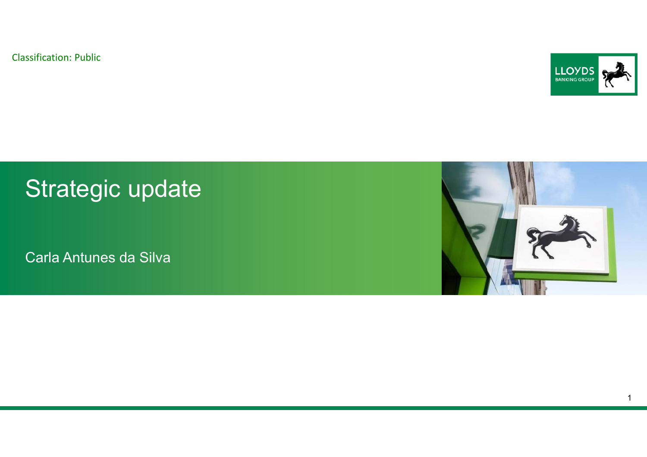

## Strategic update

Carla Antunes da Silva

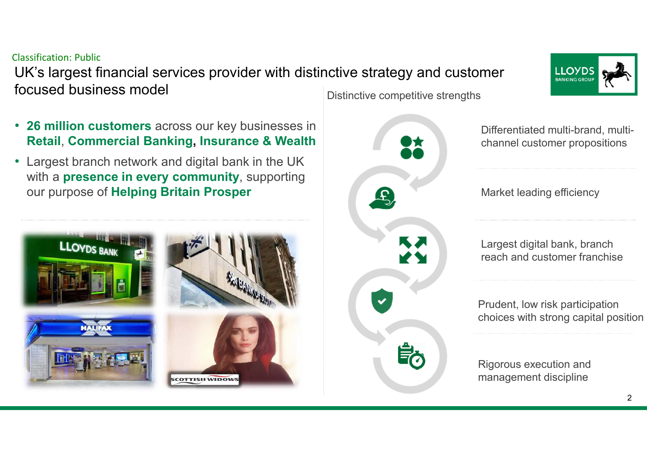# reach and customer franchise

Prudent, low risk participation choices with strong capital position

Differentiated multi-brand, multichannel customer propositions

Market leading efficiency

Largest digital bank, branch

Rigorous execution and management discipline

#### Classification: Public

 UK's largest financial services provider with distinctive strategy and customer focused business model

- **26 million customers** across our key businesses in **Retail**, **Commercial Banking, Insurance & Wealth**
- • Largest branch network and digital bank in the UK with a **presence in every community**, supporting our purpose of **Helping Britain Prosper**

Distinctive competitive strengths



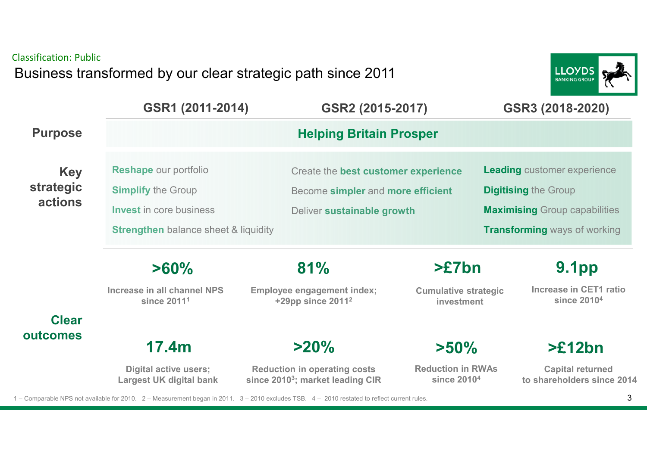Classification: PublicBusiness transformed by our clear strategic path since 2011



|                | GSR1 (2011-2014)                                               | GSR2 (2015-2017)                                                                                                                             |                                                     | GSR3 (2018-2020)                                      |  |
|----------------|----------------------------------------------------------------|----------------------------------------------------------------------------------------------------------------------------------------------|-----------------------------------------------------|-------------------------------------------------------|--|
| <b>Purpose</b> | <b>Helping Britain Prosper</b>                                 |                                                                                                                                              |                                                     |                                                       |  |
| <b>Key</b>     | <b>Reshape our portfolio</b>                                   | Create the best customer experience                                                                                                          |                                                     | <b>Leading customer experience</b>                    |  |
| strategic      | <b>Simplify the Group</b>                                      | Become simpler and more efficient                                                                                                            |                                                     | <b>Digitising the Group</b>                           |  |
| <b>actions</b> | <b>Invest</b> in core business                                 | Deliver sustainable growth                                                                                                                   |                                                     | <b>Maximising Group capabilities</b>                  |  |
|                | <b>Strengthen</b> balance sheet & liquidity                    |                                                                                                                                              |                                                     | <b>Transforming ways of working</b>                   |  |
|                | $>60\%$                                                        | 81%                                                                                                                                          | $>E7$ bn                                            | <b>9.1pp</b>                                          |  |
|                | Increase in all channel NPS<br>since 2011 <sup>1</sup>         | <b>Employee engagement index;</b><br>+29pp since 2011 <sup>2</sup>                                                                           | <b>Cumulative strategic</b><br>investment           | Increase in CET1 ratio<br>since 2010 <sup>4</sup>     |  |
| <b>Clear</b>   |                                                                |                                                                                                                                              |                                                     |                                                       |  |
| outcomes       | 17.4 <sub>m</sub>                                              | $>20\%$                                                                                                                                      | $>50\%$                                             | >E12bn                                                |  |
|                | <b>Digital active users;</b><br><b>Largest UK digital bank</b> | <b>Reduction in operating costs</b><br>since 2010 <sup>3</sup> ; market leading CIR                                                          | <b>Reduction in RWAs</b><br>since 2010 <sup>4</sup> | <b>Capital returned</b><br>to shareholders since 2014 |  |
|                |                                                                | 1 – Comparable NPS not available for 2010. 2 – Measurement began in 2011. 3 – 2010 excludes TSB. 4 – 2010 restated to reflect current rules. |                                                     | 3                                                     |  |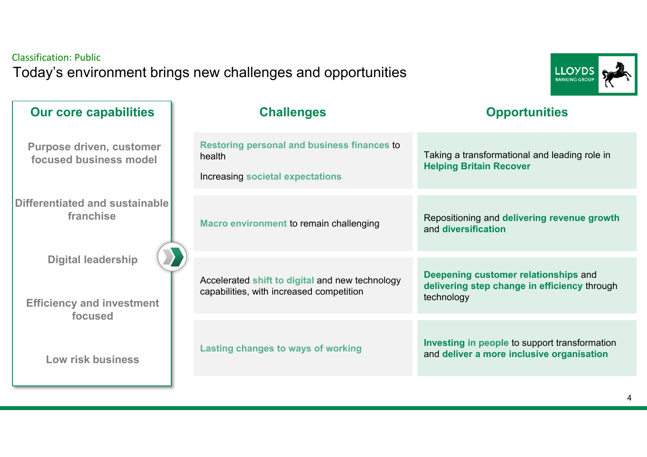#### Classification: PublicToday's environment brings new challenges and opportunities



| <b>Our core capabilities</b>                                             | <b>Challenges</b>                                                                                | <b>Opportunities</b>                                                                               |
|--------------------------------------------------------------------------|--------------------------------------------------------------------------------------------------|----------------------------------------------------------------------------------------------------|
| <b>Purpose driven, customer</b><br>focused business model                | <b>Restoring personal and business finances to</b><br>health<br>Increasing societal expectations | Taking a transformational and leading role in<br><b>Helping Britain Recover</b>                    |
| Differentiated and sustainable<br>franchise                              | Macro environment to remain challenging                                                          | Repositioning and delivering revenue growth<br>and diversification                                 |
| <b>Digital leadership</b><br><b>Efficiency and investment</b><br>focused | Accelerated shift to digital and new technology<br>capabilities, with increased competition      | Deepening customer relationships and<br>delivering step change in efficiency through<br>technology |
| Low risk business                                                        | <b>Lasting changes to ways of working</b>                                                        | Investing in people to support transformation<br>and deliver a more inclusive organisation         |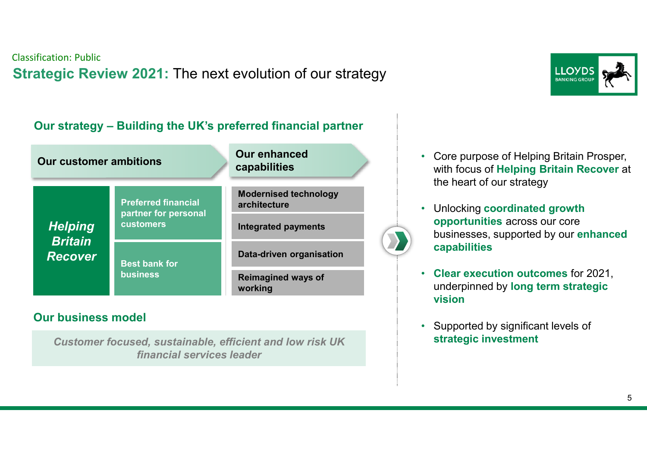### Classification: Public**Strategic Review 2021:** The next evolution of our strategy



#### **Our strategy – Building the UK's preferred financial partner**

| <b>Our customer ambitions</b>    |                                                    | <b>Our enhanced</b><br>capabilities          |  |
|----------------------------------|----------------------------------------------------|----------------------------------------------|--|
|                                  | <b>Preferred financial</b><br>partner for personal | <b>Modernised technology</b><br>architecture |  |
| <b>Helping</b>                   | <b>customers</b>                                   | <b>Integrated payments</b>                   |  |
| <b>Britain</b><br><b>Recover</b> | <b>Best bank for</b><br><b>business</b>            | Data-driven organisation                     |  |
|                                  |                                                    | <b>Reimagined ways of</b><br>working         |  |

#### **Our business model**

*Customer focused, sustainable, efficient and low risk UK financial services leader*

- Core purpose of Helping Britain Prosper, with focus of **Helping Britain Recover** at the heart of our strategy
- Unlocking **coordinated growth opportunities** across our core businesses, supported by our **enhanced capabilities**
- **Clear execution outcomes** for 2021, underpinned by **long term strategic vision**
- Supported by significant levels of **strategic investment**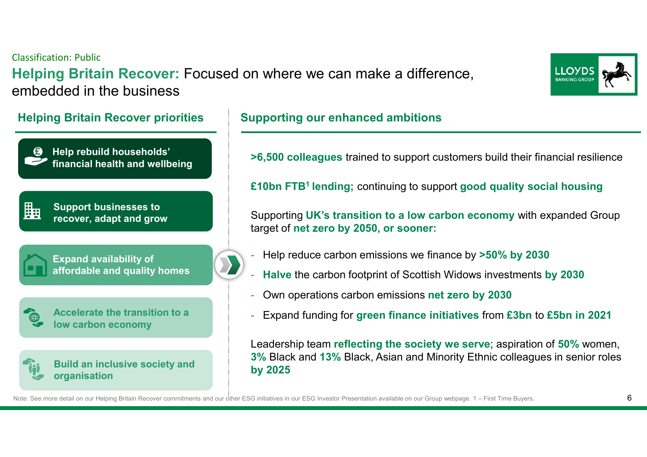Classification: Public**Helping Britain Recover:** Focused on where we can make a difference, embedded in the business



**Help rebuild households' £ financial health and wellbeingSupport businesses to** Ëa **recover, adapt and growExpand availability of affordable and quality homes**

**Accelerate the transition to a low carbon economy**

#### **Build an inclusive society and organisation**

#### **Helping Britain Recover priorities Supporting our enhanced ambitions**

**>6,500 colleagues** trained to support customers build their financial resilience

**£10bn FTB1 lending;** continuing to support **good quality social housing**

Supporting **UK's transition to a low carbon economy** with expanded Group target of **net zero by 2050, or sooner:**

- Help reduce carbon emissions we finance by **>50% by 2030**
- **Halve** the carbon footprint of Scottish Widows investments **by 2030**
- Own operations carbon emissions **net zero by 2030**
- Expand funding for **green finance initiatives** from **£3bn** to **£5bn in 2021**

Leadership team **reflecting the society we serve**; aspiration of **50%** women, **3%** Black and **13%** Black, Asian and Minority Ethnic colleagues in senior roles **by 2025**

Note: See more detail on our Helping Britain Recover commitments and our other ESG initiatives in our ESG Investor Presentation available on our Group webpage. 1 – First Time Buyers.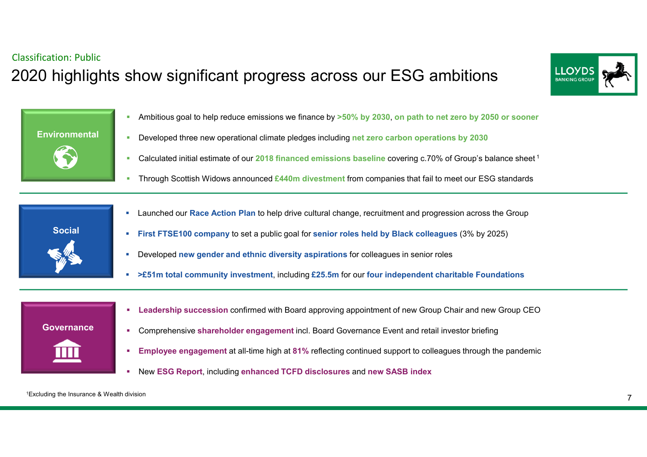### Classification: Public2020 highlights show significant progress across our ESG ambitions





- Ambitious goal to help reduce emissions we finance by **>50% by 2030**, **on path to net zero by 2050 or sooner**
- Ì. Developed three new operational climate pledges including **net zero carbon operations by 2030**
- Calculated initial estimate of our **2018 financed emissions baseline** covering c.70% of Group's balance sheet <sup>1</sup>
- Ì. Through Scottish Widows announced **£440m divestment** from companies that fail to meet our ESG standards



- $\mathcal{C}$ Launched our **Race Action Plan** to help drive cultural change, recruitment and progression across the Group
- г **First FTSE100 company** to set a public goal for **senior roles held by Black colleagues** (3% by 2025)
- × Developed **new gender and ethnic diversity aspirations** for colleagues in senior roles
- × **>£51m total community investment**, including **£25.5m** for our **four independent charitable Foundations**



- **Leadership succession** confirmed with Board approving appointment of new Group Chair and new Group CEO
- п Comprehensive **shareholder engagement** incl. Board Governance Event and retail investor briefing
- ٠ **Employee engagement** at all-time high at **81%** reflecting continued support to colleagues through the pandemic
- п New **ESG Report**, including **enhanced TCFD disclosures** and **new SASB index**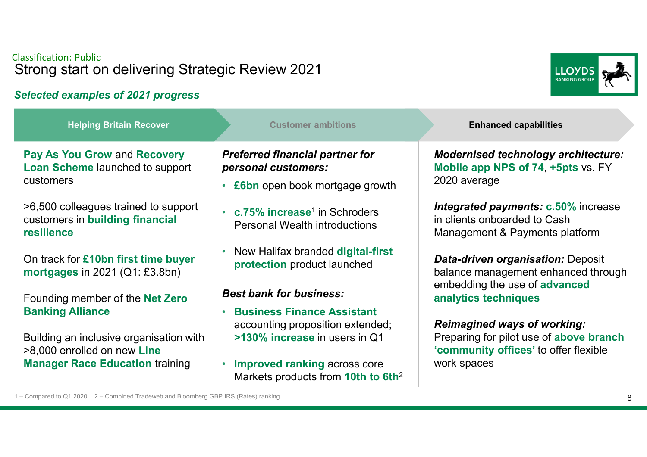#### Classification: PublicStrong start on delivering Strategic Review 2021

#### *Selected examples of 2021 progress*

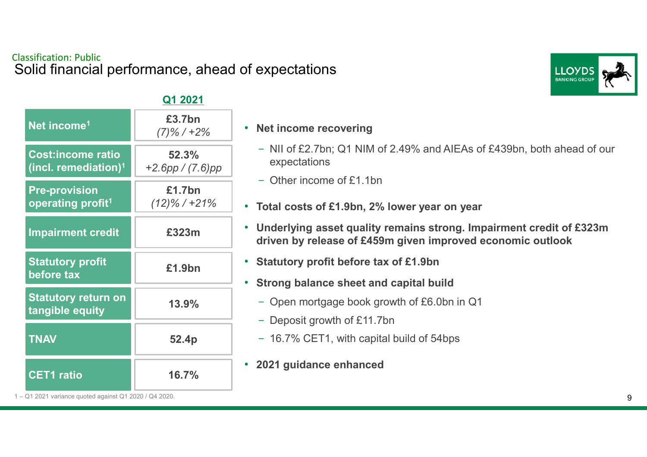#### Classification: PublicSolid financial performance, ahead of expectations



#### **Q1 2021**

| Net income <sup>1</sup>                                      | £3.7bn<br>$(7)\%$ / +2%         |
|--------------------------------------------------------------|---------------------------------|
| <b>Cost:income ratio</b><br>(incl. remediation) <sup>1</sup> | 52.3%<br>$+2.6$ pp / $(7.6)$ pp |
| <b>Pre-provision</b><br>operating profit <sup>1</sup>        | £1.7bn<br>$(12)\%$ / +21%       |
| <b>Impairment credit</b>                                     | £323m                           |
| <b>Statutory profit</b><br>before tax                        | £1.9bn                          |
| <b>Statutory return on</b><br>tangible equity                | 13.9%                           |
| <b>TNAV</b>                                                  | 52.4p                           |
| <b>CET1</b> ratio                                            | 16.7%                           |

#### • **Net income recovering**

- NII of £2.7bn; Q1 NIM of 2.49% and AIEAs of £439bn, both ahead of our expectations
- Other income of £1.1bn
- **Total costs of £1.9bn, 2% lower year on year**
- **Underlying asset quality remains strong. Impairment credit of £323m driven by release of £459m given improved economic outlook**
- **Statutory profit before tax of £1.9bn**
- **Strong balance sheet and capital build**
	- Open mortgage book growth of £6.0bn in Q1
	- Deposit growth of £11.7bn
	- 16.7% CET1, with capital build of 54bps
- $\bullet$ **2021 guidance enhanced**

1 – Q1 2021 variance quoted against Q1 2020 / Q4 2020.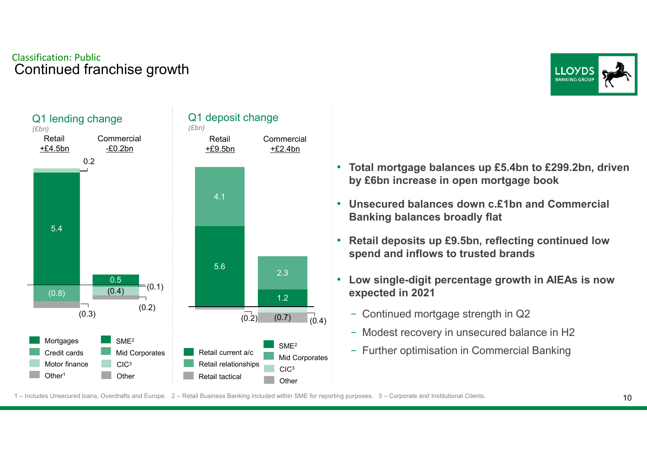#### Classification: PublicContinued franchise growth





- **Total mortgage balances up £5.4bn to £299.2bn, driven by £6bn increase in open mortgage book**
- **Unsecured balances down c.£1bn and Commercial Banking balances broadly flat**
- **Retail deposits up £9.5bn, reflecting continued lowspend and inflows to trusted brands**
- **Low single-digit percentage growth in AIEAs is now expected in 2021**
	- Continued mortgage strength in Q2
	- Modest recovery in unsecured balance in H2
	- Further optimisation in Commercial Banking

1 – Includes Unsecured loans, Overdrafts and Europe. 2 – Retail Business Banking included within SME for reporting purposes. 3 – Corporate and Institutional Clients.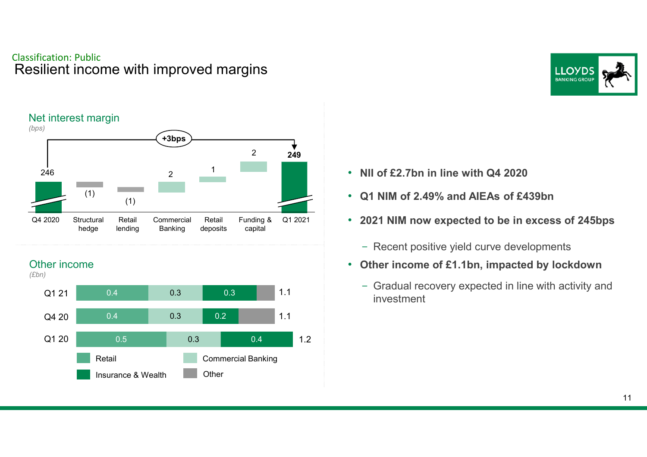#### Classification: PublicResilient income with improved margins



#### Other income





- •**NII of £2.7bn in line with Q4 2020**
- **Q1 NIM of 2.49% and AIEAs of £439bn**
- **2021 NIM now expected to be in excess of 245bps**
	- Recent positive yield curve developments
- **Other income of £1.1bn, impacted by lockdown**
	- Gradual recovery expected in line with activity and investment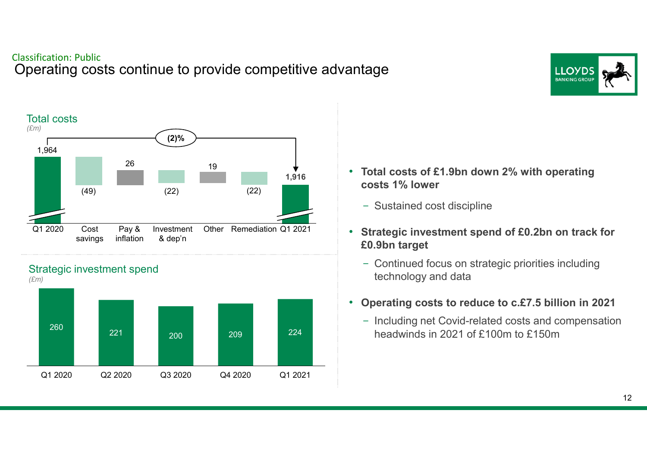Operating costs continue to provide competitive advantage







- **Total costs of £1.9bn down 2% with operating costs 1% lower**
	- Sustained cost discipline
- **Strategic investment spend of £0.2bn on track for £0.9bn target**
	- Continued focus on strategic priorities including technology and data
- **Operating costs to reduce to c.£7.5 billion in 2021**
	- Including net Covid-related costs and compensation headwinds in 2021 of £100m to £150m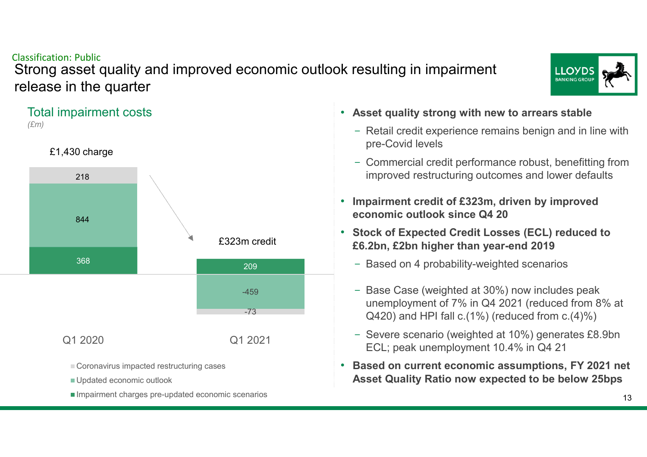Strong asset quality and improved economic outlook resulting in impairment release in the quarter





- Coronavirus impacted restructuring cases
- Updated economic outlook
- Impairment charges pre-updated economic scenarios
- **Asset quality strong with new to arrears stable**
	- Retail credit experience remains benign and in line with pre-Covid levels
	- Commercial credit performance robust, benefitting from improved restructuring outcomes and lower defaults
- • **Impairment credit of £323m, driven by improved economic outlook since Q4 20**
- **Stock of Expected Credit Losses (ECL) reduced to £6.2bn, £2bn higher than year-end 2019**
	- Based on 4 probability-weighted scenarios
	- Base Case (weighted at 30%) now includes peak unemployment of 7% in Q4 2021 (reduced from 8% at Q420) and HPI fall c.(1%) (reduced from c.(4)%)
	- Severe scenario (weighted at 10%) generates £8.9bn ECL; peak unemployment 10.4% in Q4 21
- **Based on current economic assumptions, FY 2021 net Asset Quality Ratio now expected to be below 25bps**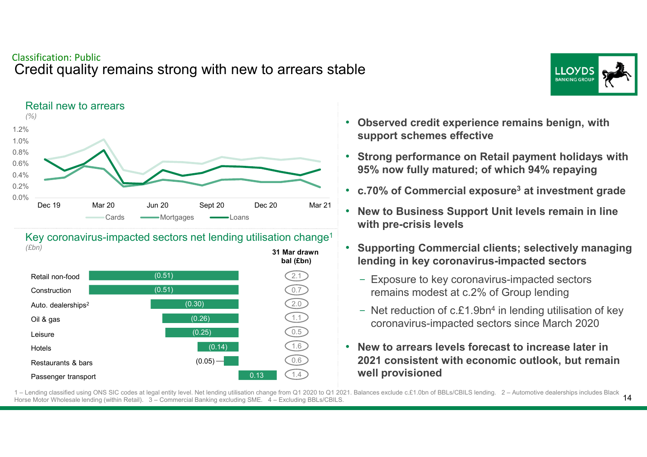#### Classification: PublicCredit quality remains strong with new to arrears stable





Key coronavirus-impacted sectors net lending utilisation change<sup>1</sup> *(£bn)***31 Mar drawn** 



- **Observed credit experience remains benign, with support schemes effective**
- $\bullet$  **Strong performance on Retail payment holidays with 95% now fully matured; of which 94% repaying**
- **c.70% of Commercial exposure<sup>3</sup> at investment grade**
- **New to Business Support Unit levels remain in line with pre-crisis levels**
- **Supporting Commercial clients; selectively managinglending in key coronavirus-impacted sectors**
	- Exposure to key coronavirus-impacted sectors remains modest at c.2% of Group lending
	- Net reduction of c.£1.9bn<sup>4</sup> in lending utilisation of key coronavirus-impacted sectors since March 2020
- **New to arrears levels forecast to increase later in 2021 consistent with economic outlook, but remain well provisioned**

 $14$ 1 – Lending classified using ONS SIC codes at legal entity level. Net lending utilisation change from Q1 2020 to Q1 2021. Balances exclude c.£1.0bn of BBLs/CBILS lending. 2 – Automotive dealerships includes Black Horse Motor Wholesale lending (within Retail). 3 – Commercial Banking excluding SME. 4 – Excluding BBLs/CBILS.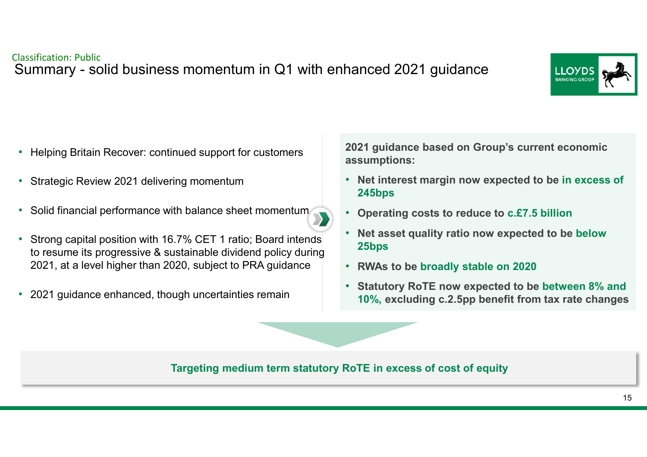

- Helping Britain Recover: continued support for customers
- $\bullet$ Strategic Review 2021 delivering momentum
- •Solid financial performance with balance sheet momentum
- • Strong capital position with 16.7% CET 1 ratio; Board intends to resume its progressive & sustainable dividend policy during 2021, at a level higher than 2020, subject to PRA guidance
- •2021 guidance enhanced, though uncertainties remain

**2021 guidance based on Group's current economic assumptions:**

- **Net interest margin now expected to be in excess of 245bps**
- **Operating costs to reduce to c.£7.5 billion**
- **Net asset quality ratio now expected to be below 25bps**
- **RWAs to be broadly stable on 2020**
- **Statutory RoTE now expected to be between 8% and 10%, excluding c.2.5pp benefit from tax rate changes**

#### **Targeting medium term statutory RoTE in excess of cost of equity**